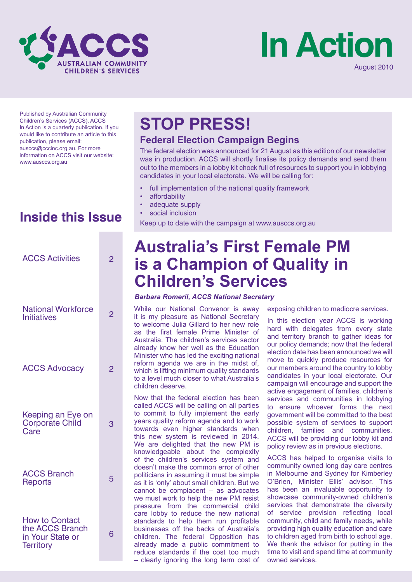



Published by Australian Community Children's Services (ACCS). ACCS In Action is a quarterly publication. If you would like to contribute an article to this publication, please email: ausccs@cccinc.org.au. For more information on ACCS visit our website: www.ausccs.org.au

# **Inside this Issue**

| <b>ACCS Activities</b>                                                           | 2              |  |
|----------------------------------------------------------------------------------|----------------|--|
| <b>National Workforce</b><br><b>Initiatives</b>                                  | $\overline{2}$ |  |
| <b>ACCS Advocacy</b>                                                             | $\overline{2}$ |  |
| Keeping an Eye on<br>Corporate Child<br>Care                                     | 3              |  |
| <b>ACCS Branch</b><br>Reports                                                    | 5              |  |
| <b>How to Contact</b><br>the ACCS Branch<br>in Your State or<br><b>Territory</b> | 6              |  |

# **STOP PRESS!**

## **Federal Election Campaign Begins**

The federal election was announced for 21 August as this edition of our newsletter was in production. ACCS will shortly finalise its policy demands and send them out to the members in a lobby kit chock full of resources to support you in lobbying candidates in your local electorate. We will be calling for:

- full implementation of the national quality framework
- affordability
- adequate supply
- social inclusion

Keep up to date with the campaign at www.ausccs.org.au

# **Australia's First Female PM is a Champion of Quality in Children's Services**

### *Barbara Romeril, ACCS National Secretary*

While our National Convenor is away it is my pleasure as National Secretary to welcome Julia Gillard to her new role as the first female Prime Minister of Australia. The children's services sector already know her well as the Education Minister who has led the exciting national reform agenda we are in the midst of, which is lifting minimum quality standards to a level much closer to what Australia's children deserve.

Now that the federal election has been called ACCS will be calling on all parties to commit to fully implement the early years quality reform agenda and to work towards even higher standards when this new system is reviewed in 2014. We are delighted that the new PM is knowledgeable about the complexity of the children's services system and doesn't make the common error of other politicians in assuming it must be simple as it is 'only' about small children. But we cannot be complacent – as advocates we must work to help the new PM resist pressure from the commercial child care lobby to reduce the new national standards to help them run profitable businesses off the backs of Australia's children. The federal Opposition has already made a public commitment to reduce standards if the cost too much – clearly ignoring the long term cost of exposing children to mediocre services.

In this election year ACCS is working hard with delegates from every state and territory branch to gather ideas for our policy demands; now that the federal election date has been announced we will move to quickly produce resources for our members around the country to lobby candidates in your local electorate. Our campaign will encourage and support the active engagement of families, children's services and communities in lobbying to ensure whoever forms the next government will be committed to the best possible system of services to support children, families and communities. ACCS will be providing our lobby kit and policy review as in previous elections.

ACCS has helped to organise visits to community owned long day care centres in Melbourne and Sydney for Kimberley O'Brien, Minister Ellis' advisor. This has been an invaluable opportunity to showcase community-owned children's services that demonstrate the diversity of service provision reflecting local community, child and family needs, while providing high quality education and care to children aged from birth to school age. We thank the advisor for putting in the time to visit and spend time at community owned services.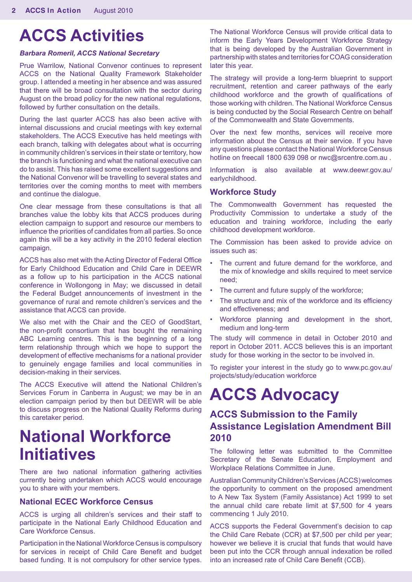# **ACCS Activities**

#### *Barbara Romeril, ACCS National Secretary*

Prue Warrilow, National Convenor continues to represent ACCS on the National Quality Framework Stakeholder group. I attended a meeting in her absence and was assured that there will be broad consultation with the sector during August on the broad policy for the new national regulations, followed by further consultation on the details.

During the last quarter ACCS has also been active with internal discussions and crucial meetings with key external stakeholders. The ACCS Executive has held meetings with each branch, talking with delegates about what is occurring in community children's services in their state or territory, how the branch is functioning and what the national executive can do to assist. This has raised some excellent suggestions and the National Convenor will be travelling to several states and territories over the coming months to meet with members and continue the dialogue.

One clear message from these consultations is that all branches value the lobby kits that ACCS produces during election campaign to support and resource our members to influence the priorities of candidates from all parties. So once again this will be a key activity in the 2010 federal election campaign.

ACCS has also met with the Acting Director of Federal Office for Early Childhood Education and Child Care in DEEWR as a follow up to his participation in the ACCS national conference in Wollongong in May; we discussed in detail the Federal Budget announcements of investment in the governance of rural and remote children's services and the assistance that ACCS can provide.

We also met with the Chair and the CEO of GoodStart, the non-profit consortium that has bought the remaining ABC Learning centres. This is the beginning of a long term relationship through which we hope to support the development of effective mechanisms for a national provider to genuinely engage families and local communities in decision-making in their services.

The ACCS Executive will attend the National Children's Services Forum in Canberra in August; we may be in an election campaign period by then but DEEWR will be able to discuss progress on the National Quality Reforms during this caretaker period.

# **National Workforce Initiatives**

There are two national information gathering activities currently being undertaken which ACCS would encourage you to share with your members.

### **National ECEC Workforce Census**

ACCS is urging all children's services and their staff to participate in the National Early Childhood Education and Care Workforce Census.

Participation in the National Workforce Census is compulsory for services in receipt of Child Care Benefit and budget based funding. It is not compulsory for other service types.

The National Workforce Census will provide critical data to inform the Early Years Development Workforce Strategy that is being developed by the Australian Government in partnership with states and territories for COAG consideration later this year.

The strategy will provide a long-term blueprint to support recruitment, retention and career pathways of the early childhood workforce and the growth of qualifications of those working with children. The National Workforce Census is being conducted by the Social Research Centre on behalf of the Commonwealth and State Governments.

Over the next few months, services will receive more information about the Census at their service. If you have any questions please contact the National Workforce Census hotline on freecall 1800 639 098 or nwc@srcentre.com.au.

Information is also available at www.deewr.gov.au/ earlychildhood.

### **Workforce Study**

The Commonwealth Government has requested the Productivity Commission to undertake a study of the education and training workforce, including the early childhood development workforce.

The Commission has been asked to provide advice on issues such as:

- The current and future demand for the workforce, and the mix of knowledge and skills required to meet service need;
- The current and future supply of the workforce;
- The structure and mix of the workforce and its efficiency and effectiveness; and
- Workforce planning and development in the short, medium and long-term

The study will commence in detail in October 2010 and report in October 2011. ACCS believes this is an important study for those working in the sector to be involved in.

To register your interest in the study go to www.pc.gov.au/ projects/study/education workforce

# **ACCS Advocacy**

## **ACCS Submission to the Family Assistance Legislation Amendment Bill 2010**

The following letter was submitted to the Committee Secretary of the Senate Education, Employment and Workplace Relations Committee in June.

Australian Community Children's Services (ACCS) welcomes the opportunity to comment on the proposed amendment to A New Tax System (Family Assistance) Act 1999 to set the annual child care rebate limit at \$7,500 for 4 years commencing 1 July 2010.

ACCS supports the Federal Government's decision to cap the Child Care Rebate (CCR) at \$7,500 per child per year; however we believe it is crucial that funds that would have been put into the CCR through annual indexation be rolled into an increased rate of Child Care Benefit (CCB).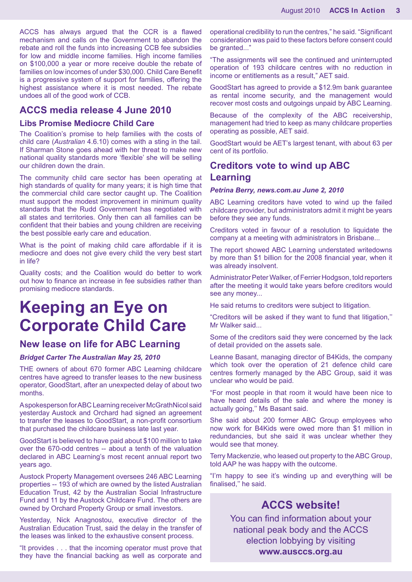ACCS has always argued that the CCR is a flawed mechanism and calls on the Government to abandon the rebate and roll the funds into increasing CCB fee subsidies for low and middle income families. High income families on \$100,000 a year or more receive double the rebate of families on low incomes of under \$30,000. Child Care Benefit is a progressive system of support for families, offering the highest assistance where it is most needed. The rebate undoes all of the good work of CCB.

## **ACCS media release 4 June 2010**

#### **Libs Promise Mediocre Child Care**

The Coalition's promise to help families with the costs of child care (*Australian* 4.6.10) comes with a sting in the tail. If Sharman Stone goes ahead with her threat to make new national quality standards more 'flexible' she will be selling our children down the drain.

The community child care sector has been operating at high standards of quality for many years; it is high time that the commercial child care sector caught up. The Coalition must support the modest improvement in minimum quality standards that the Rudd Government has negotiated with all states and territories. Only then can all families can be confident that their babies and young children are receiving the best possible early care and education.

What is the point of making child care affordable if it is mediocre and does not give every child the very best start in life?

Quality costs; and the Coalition would do better to work out how to finance an increase in fee subsidies rather than promising mediocre standards.

# **Keeping an Eye on Corporate Child Care**

## **New lease on life for ABC Learning**

#### *Bridget Carter The Australian May 25, 2010*

THE owners of about 670 former ABC Learning childcare centres have agreed to transfer leases to the new business operator, GoodStart, after an unexpected delay of about two months.

A spokesperson for ABC Learning receiver McGrathNicol said yesterday Austock and Orchard had signed an agreement to transfer the leases to GoodStart, a non-profit consortium that purchased the childcare business late last year.

GoodStart is believed to have paid about \$100 million to take over the 670-odd centres -- about a tenth of the valuation declared in ABC Learning's most recent annual report two years ago.

Austock Property Management oversees 246 ABC Learning properties -- 193 of which are owned by the listed Australian Education Trust, 42 by the Australian Social Infrastructure Fund and 11 by the Austock Childcare Fund. The others are owned by Orchard Property Group or small investors.

Yesterday, Nick Anagnostou, executive director of the Australian Education Trust, said the delay in the transfer of the leases was linked to the exhaustive consent process.

"It provides . . . that the incoming operator must prove that they have the financial backing as well as corporate and

operational credibility to run the centres," he said. "Significant consideration was paid to these factors before consent could be granted..."

"The assignments will see the continued and uninterrupted operation of 193 childcare centres with no reduction in income or entitlements as a result," AET said.

GoodStart has agreed to provide a \$12.9m bank guarantee as rental income security, and the management would recover most costs and outgoings unpaid by ABC Learning.

Because of the complexity of the ABC receivership, management had tried to keep as many childcare properties operating as possible, AET said.

GoodStart would be AET's largest tenant, with about 63 per cent of its portfolio.

## **Creditors vote to wind up ABC Learning**

#### *Petrina Berry, news.com.au June 2, 2010*

ABC Learning creditors have voted to wind up the failed childcare provider, but administrators admit it might be years before they see any funds.

Creditors voted in favour of a resolution to liquidate the company at a meeting with administrators in Brisbane...

The report showed ABC Learning understated writedowns by more than \$1 billion for the 2008 financial year, when it was already insolvent.

Administrator Peter Walker, of Ferrier Hodgson, told reporters after the meeting it would take years before creditors would see any money...

He said returns to creditors were subject to litigation.

"Creditors will be asked if they want to fund that litigation,'' Mr Walker said...

Some of the creditors said they were concerned by the lack of detail provided on the assets sale.

Leanne Basant, managing director of B4Kids, the company which took over the operation of 21 defence child care centres formerly managed by the ABC Group, said it was unclear who would be paid.

"For most people in that room it would have been nice to have heard details of the sale and where the money is actually going,'' Ms Basant said.

She said about 200 former ABC Group employees who now work for B4Kids were owed more than \$1 million in redundancies, but she said it was unclear whether they would see that money.

Terry Mackenzie, who leased out property to the ABC Group, told AAP he was happy with the outcome.

"I'm happy to see it's winding up and everything will be finalised,'' he said.

# **ACCS website!**

You can find information about your national peak body and the ACCS election lobbying by visiting **www.ausccs.org.au**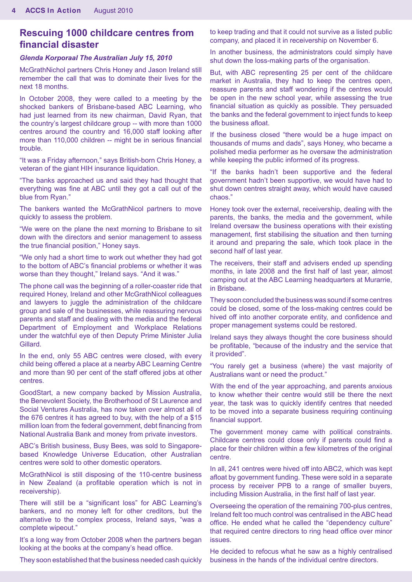# **Rescuing 1000 childcare centres from financial disaster**

#### *Glenda Korporaal The Australian July 15, 2010*

McGrathNichol partners Chris Honey and Jason Ireland still remember the call that was to dominate their lives for the next 18 months.

In October 2008, they were called to a meeting by the shocked bankers of Brisbane-based ABC Learning, who had just learned from its new chairman, David Ryan, that the country's largest childcare group -- with more than 1000 centres around the country and 16,000 staff looking after more than 110,000 children -- might be in serious financial trouble.

"It was a Friday afternoon," says British-born Chris Honey, a veteran of the giant HIH insurance liquidation.

"The banks approached us and said they had thought that everything was fine at ABC until they got a call out of the blue from Ryan."

The bankers wanted the McGrathNicol partners to move quickly to assess the problem.

"We were on the plane the next morning to Brisbane to sit down with the directors and senior management to assess the true financial position," Honey says.

"We only had a short time to work out whether they had got to the bottom of ABC's financial problems or whether it was worse than they thought," Ireland says. "And it was."

The phone call was the beginning of a roller-coaster ride that required Honey, Ireland and other McGrathNicol colleagues and lawyers to juggle the administration of the childcare group and sale of the businesses, while reassuring nervous parents and staff and dealing with the media and the federal Department of Employment and Workplace Relations under the watchful eye of then Deputy Prime Minister Julia Gillard.

In the end, only 55 ABC centres were closed, with every child being offered a place at a nearby ABC Learning Centre and more than 90 per cent of the staff offered jobs at other centres.

GoodStart, a new company backed by Mission Australia, the Benevolent Society, the Brotherhood of St Laurence and Social Ventures Australia, has now taken over almost all of the 676 centres it has agreed to buy, with the help of a \$15 million loan from the federal government, debt financing from National Australia Bank and money from private investors.

ABC's British business, Busy Bees, was sold to Singaporebased Knowledge Universe Education, other Australian centres were sold to other domestic operators.

McGrathNicol is still disposing of the 110-centre business in New Zealand (a profitable operation which is not in receivership).

There will still be a "significant loss" for ABC Learning's bankers, and no money left for other creditors, but the alternative to the complex process, Ireland says, "was a complete wipeout."

It's a long way from October 2008 when the partners began looking at the books at the company's head office.

They soon established that the business needed cash quickly

to keep trading and that it could not survive as a listed public company, and placed it in receivership on November 6.

In another business, the administrators could simply have shut down the loss-making parts of the organisation.

But, with ABC representing 25 per cent of the childcare market in Australia, they had to keep the centres open, reassure parents and staff wondering if the centres would be open in the new school year, while assessing the true financial situation as quickly as possible. They persuaded the banks and the federal government to inject funds to keep the business afloat.

If the business closed "there would be a huge impact on thousands of mums and dads", says Honey, who became a polished media performer as he oversaw the administration while keeping the public informed of its progress.

"If the banks hadn't been supportive and the federal government hadn't been supportive, we would have had to shut down centres straight away, which would have caused chaos."

Honey took over the external, receivership, dealing with the parents, the banks, the media and the government, while Ireland oversaw the business operations with their existing management, first stabilising the situation and then turning it around and preparing the sale, which took place in the second half of last year.

The receivers, their staff and advisers ended up spending months, in late 2008 and the first half of last year, almost camping out at the ABC Learning headquarters at Murarrie, in Brisbane.

They soon concluded the business was sound if some centres could be closed, some of the loss-making centres could be hived off into another corporate entity, and confidence and proper management systems could be restored.

Ireland says they always thought the core business should be profitable, "because of the industry and the service that it provided".

"You rarely get a business (where) the vast majority of Australians want or need the product."

With the end of the year approaching, and parents anxious to know whether their centre would still be there the next year, the task was to quickly identify centres that needed to be moved into a separate business requiring continuing financial support.

The government money came with political constraints. Childcare centres could close only if parents could find a place for their children within a few kilometres of the original centre.

In all, 241 centres were hived off into ABC2, which was kept afloat by government funding. These were sold in a separate process by receiver PPB to a range of smaller buyers, including Mission Australia, in the first half of last year.

Overseeing the operation of the remaining 700-plus centres, Ireland felt too much control was centralised in the ABC head office. He ended what he called the "dependency culture" that required centre directors to ring head office over minor issues.

He decided to refocus what he saw as a highly centralised business in the hands of the individual centre directors.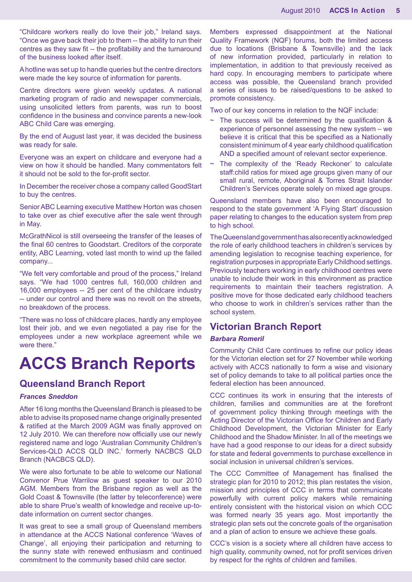"Childcare workers really do love their job," Ireland says. "Once we gave back their job to them -- the ability to run their centres as they saw fit -- the profitability and the turnaround of the business looked after itself.

A hotline was set up to handle queries but the centre directors were made the key source of information for parents.

Centre directors were given weekly updates. A national marketing program of radio and newspaper commercials, using unsolicited letters from parents, was run to boost confidence in the business and convince parents a new-look ABC Child Care was emerging.

By the end of August last year, it was decided the business was ready for sale.

Everyone was an expert on childcare and everyone had a view on how it should be handled. Many commentators felt it should not be sold to the for-profit sector.

In December the receiver chose a company called GoodStart to buy the centres.

Senior ABC Learning executive Matthew Horton was chosen to take over as chief executive after the sale went through in May.

McGrathNicol is still overseeing the transfer of the leases of the final 60 centres to Goodstart. Creditors of the corporate entity, ABC Learning, voted last month to wind up the failed company...

"We felt very comfortable and proud of the process," Ireland says. "We had 1000 centres full, 160,000 children and 16,000 employees -- 25 per cent of the childcare industry -- under our control and there was no revolt on the streets, no breakdown of the process.

"There was no loss of childcare places, hardly any employee lost their job, and we even negotiated a pay rise for the employees under a new workplace agreement while we were there."

# **ACCS Branch Reports**

## **Queensland Branch Report**

#### *Frances Sneddon*

After 16 long months the Queensland Branch is pleased to be able to advise its proposed name change originally presented & ratified at the March 2009 AGM was finally approved on 12 July 2010. We can therefore now officially use our newly registered name and logo 'Australian Community Children's Services-QLD ACCS QLD INC.' formerly NACBCS QLD Branch (NACBCS QLD).

We were also fortunate to be able to welcome our National Convenor Prue Warrilow as guest speaker to our 2010 AGM. Members from the Brisbane region as well as the Gold Coast & Townsville (the latter by teleconference) were able to share Prue's wealth of knowledge and receive up-todate information on current sector changes.

It was great to see a small group of Queensland members in attendance at the ACCS National conference 'Waves of Change', all enjoying their participation and returning to the sunny state with renewed enthusiasm and continued commitment to the community based child care sector.

Members expressed disappointment at the National Quality Framework (NQF) forums, both the limited access due to locations (Brisbane & Townsville) and the lack of new information provided, particularly in relation to implementation, in addition to that previously received as hard copy. In encouraging members to participate where access was possible, the Queensland branch provided a series of issues to be raised/questions to be asked to promote consistency.

Two of our key concerns in relation to the NQF include:

- $\sim$  The success will be determined by the qualification & experience of personnel assessing the new system – we believe it is critical that this be specified as a Nationally consistent minimum of 4 year early childhood qualification AND a specified amount of relevant sector experience.
- The complexity of the 'Ready Reckoner' to calculate staff:child ratios for mixed age groups given many of our small rural, remote, Aboriginal & Torres Strait Islander Children's Services operate solely on mixed age groups.

Queensland members have also been encouraged to respond to the state government 'A Flying Start' discussion paper relating to changes to the education system from prep to high school.

The Queensland government has also recently acknowledged the role of early childhood teachers in children's services by amending legislation to recognise teaching experience, for registration purposes in appropriate Early Childhood settings. Previously teachers working in early childhood centres were unable to include their work in this environment as practice requirements to maintain their teachers registration. A positive move for those dedicated early childhood teachers who choose to work in children's services rather than the school system.

## **Victorian Branch Report**

### *Barbara Romeril*

Community Child Care continues to refine our policy ideas for the Victorian election set for 27 November while working actively with ACCS nationally to form a wise and visionary set of policy demands to take to all political parties once the federal election has been announced.

CCC continues its work in ensuring that the interests of children, families and communities are at the forefront of government policy thinking through meetings with the Acting Director of the Victorian Office for Children and Early Childhood Development, the Victorian Minister for Early Childhood and the Shadow Minister. In all of the meetings we have had a good response to our ideas for a direct subsidy for state and federal governments to purchase excellence in social inclusion in universal children's services.

The CCC Committee of Management has finalised the strategic plan for 2010 to 2012; this plan restates the vision, mission and principles of CCC in terms that communicate powerfully with current policy makers while remaining entirely consistent with the historical vision on which CCC was formed nearly 35 years ago. Most importantly the strategic plan sets out the concrete goals of the organisation and a plan of action to ensure we achieve these goals.

CCC's vision is a society where all children have access to high quality, community owned, not for profit services driven by respect for the rights of children and families.